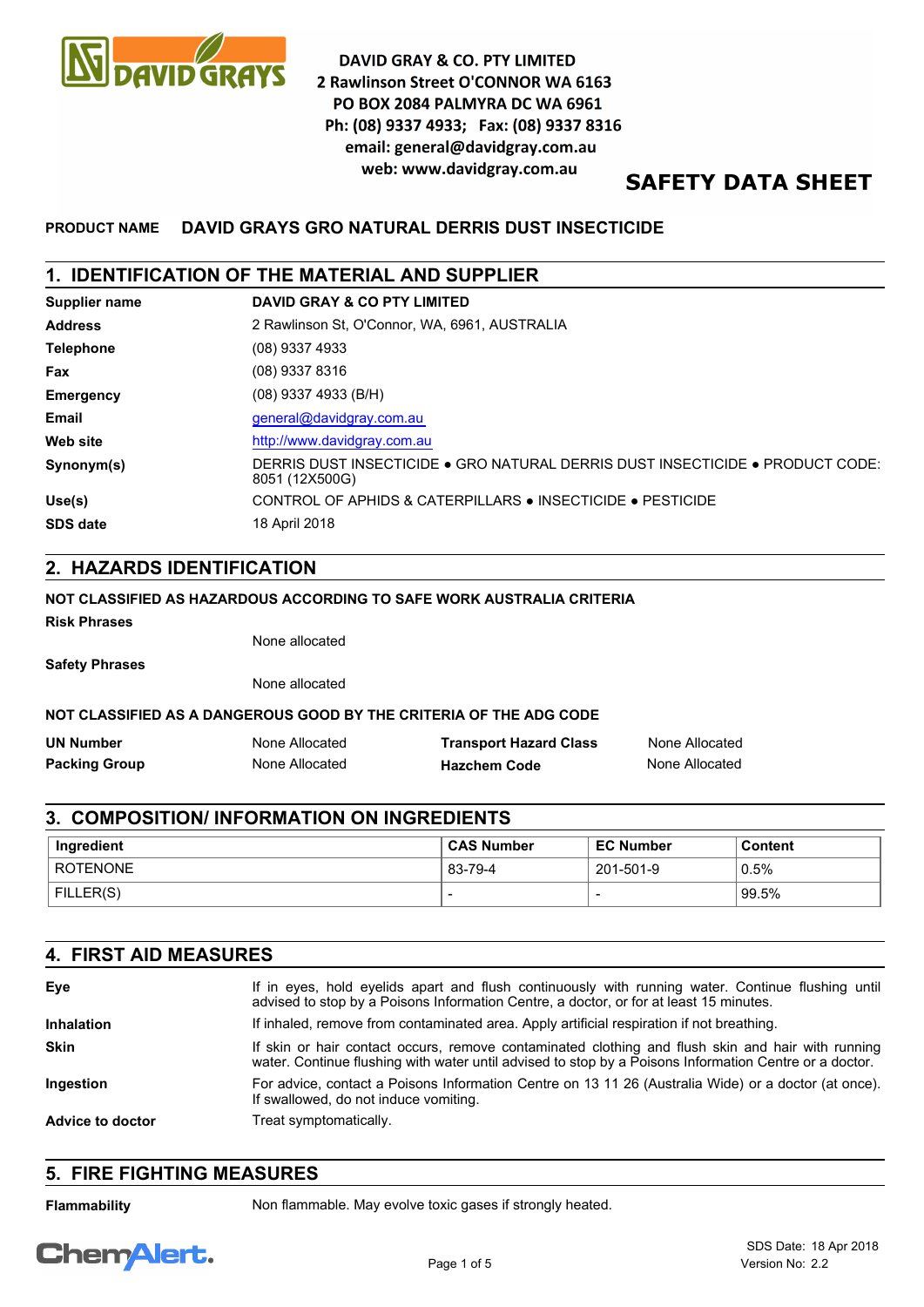

# **DAVID GRAY & CO. PTY LIMITED** 2 Rawlinson Street O'CONNOR WA 6163 PO BOX 2084 PALMYRA DC WA 6961 Ph: (08) 9337 4933; Fax: (08) 9337 8316 email: general@davidgray.com.au web: www.davidgray.com.au

# **SAFETY DATA SHEET**

# **PRODUCT NAME DAVID GRAYS GRO NATURAL DERRIS DUST INSECTICIDE**

### **1. IDENTIFICATION OF THE MATERIAL AND SUPPLIER**

| Supplier name    | <b>DAVID GRAY &amp; CO PTY LIMITED</b>                                                          |
|------------------|-------------------------------------------------------------------------------------------------|
| <b>Address</b>   | 2 Rawlinson St. O'Connor, WA, 6961, AUSTRALIA                                                   |
| <b>Telephone</b> | (08) 9337 4933                                                                                  |
| Fax              | (08) 9337 8316                                                                                  |
| <b>Emergency</b> | $(08)$ 9337 4933 (B/H)                                                                          |
| Email            | general@davidgray.com.au                                                                        |
| <b>Web site</b>  | http://www.davidgray.com.au                                                                     |
| Synonym(s)       | DERRIS DUST INSECTICIDE ● GRO NATURAL DERRIS DUST INSECTICIDE ● PRODUCT CODE:<br>8051 (12X500G) |
| Use(s)           | CONTROL OF APHIDS & CATERPILLARS ● INSECTICIDE ● PESTICIDE                                      |
| <b>SDS date</b>  | 18 April 2018                                                                                   |

## **2. HAZARDS IDENTIFICATION**

#### **NOT CLASSIFIED AS HAZARDOUS ACCORDING TO SAFE WORK AUSTRALIA CRITERIA**

**Risk Phrases**

None allocated

**Safety Phrases**

None allocated

#### **NOT CLASSIFIED AS A DANGEROUS GOOD BY THE CRITERIA OF THE ADG CODE**

| <b>UN Number</b>     | None Allocated | <b>Transport Hazard Class</b> | None Allocated |
|----------------------|----------------|-------------------------------|----------------|
| <b>Packing Group</b> | None Allocated | <b>Hazchem Code</b>           | None Allocated |

## **3. COMPOSITION/ INFORMATION ON INGREDIENTS**

| Ingredient | <b>CAS Number</b> | <b>EC Number</b> | <b>Content</b> |
|------------|-------------------|------------------|----------------|
| ROTENONE   | 83-79-4           | 201-501-9        | 0.5%           |
| FILLER(S)  | -                 |                  | 99.5%          |

| <b>4. FIRST AID MEASURES</b> |                                                                                                                                                                                                             |  |
|------------------------------|-------------------------------------------------------------------------------------------------------------------------------------------------------------------------------------------------------------|--|
| Eye                          | If in eyes, hold eyelids apart and flush continuously with running water. Continue flushing until<br>advised to stop by a Poisons Information Centre, a doctor, or for at least 15 minutes.                 |  |
| <b>Inhalation</b>            | If inhaled, remove from contaminated area. Apply artificial respiration if not breathing.                                                                                                                   |  |
| <b>Skin</b>                  | If skin or hair contact occurs, remove contaminated clothing and flush skin and hair with running<br>water. Continue flushing with water until advised to stop by a Poisons Information Centre or a doctor. |  |
| Ingestion                    | For advice, contact a Poisons Information Centre on 13 11 26 (Australia Wide) or a doctor (at once).<br>If swallowed, do not induce vomiting.                                                               |  |
| Advice to doctor             | Treat symptomatically.                                                                                                                                                                                      |  |

# **5. FIRE FIGHTING MEASURES**

**Flammability** Non flammable. May evolve toxic gases if strongly heated.

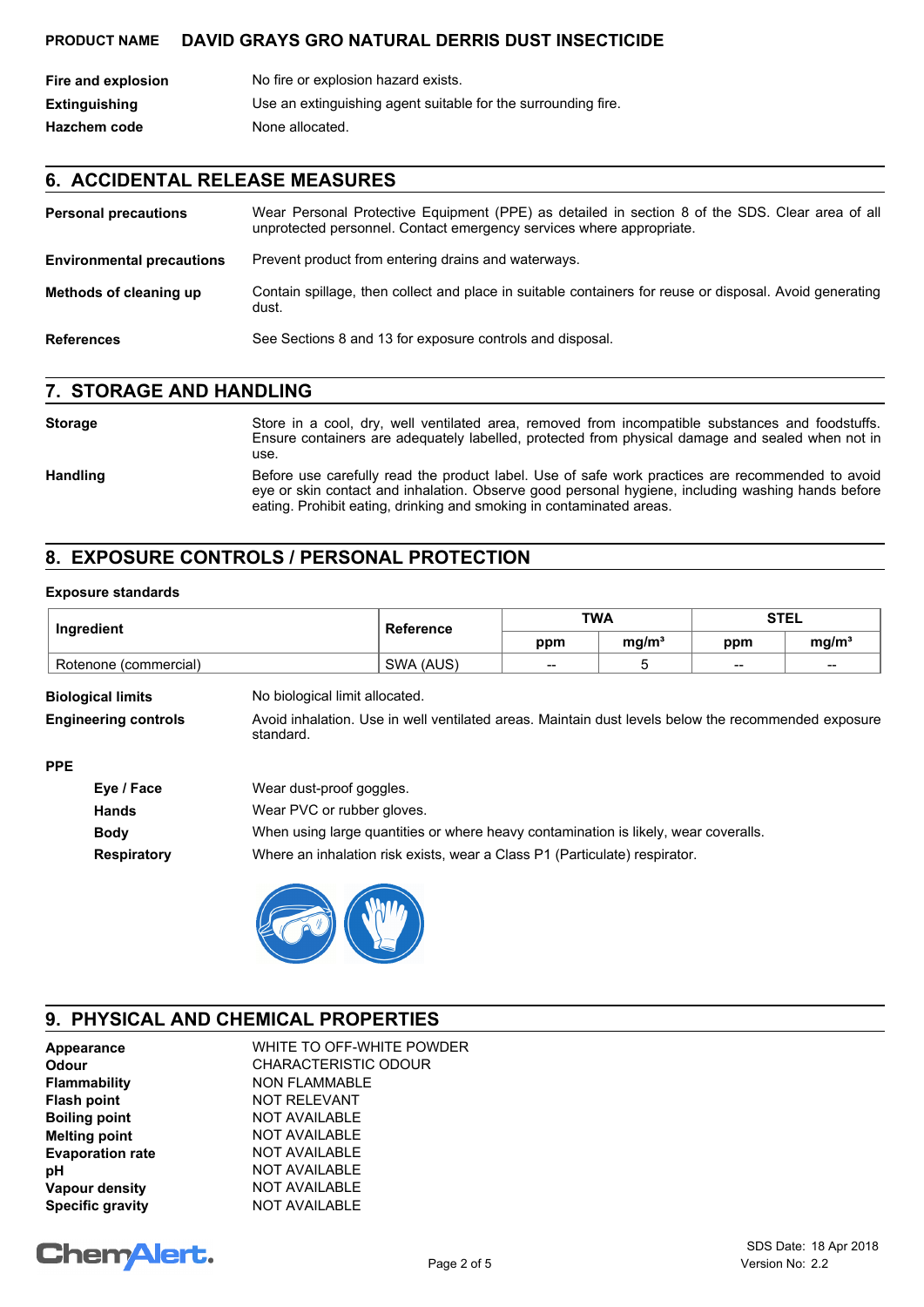| Fire and explosion   | No fire or explosion hazard exists.                           |
|----------------------|---------------------------------------------------------------|
| <b>Extinguishing</b> | Use an extinguishing agent suitable for the surrounding fire. |
| <b>Hazchem code</b>  | None allocated.                                               |

# **6. ACCIDENTAL RELEASE MEASURES**

| <b>Personal precautions</b>      | Wear Personal Protective Equipment (PPE) as detailed in section 8 of the SDS. Clear area of all<br>unprotected personnel. Contact emergency services where appropriate. |
|----------------------------------|-------------------------------------------------------------------------------------------------------------------------------------------------------------------------|
| <b>Environmental precautions</b> | Prevent product from entering drains and waterways.                                                                                                                     |
| Methods of cleaning up           | Contain spillage, then collect and place in suitable containers for reuse or disposal. Avoid generating<br>dust.                                                        |
| <b>References</b>                | See Sections 8 and 13 for exposure controls and disposal.                                                                                                               |

### **7. STORAGE AND HANDLING**

#### Storage Store in a cool, dry, well ventilated area, removed from incompatible substances and foodstuffs. Ensure containers are adequately labelled, protected from physical damage and sealed when not in use. Handling Before use carefully read the product label. Use of safe work practices are recommended to avoid eye or skin contact and inhalation. Observe good personal hygiene, including washing hands before eating. Prohibit eating, drinking and smoking in contaminated areas.

# **8. EXPOSURE CONTROLS / PERSONAL PROTECTION**

#### **Exposure standards**

| Ingredient            | <b>Reference</b> | <b>TWA</b> |                   | STEL  |                   |
|-----------------------|------------------|------------|-------------------|-------|-------------------|
|                       |                  | ppm        | ma/m <sup>3</sup> | ppm   | mq/m <sup>3</sup> |
| Rotenone (commercial) | SWA (AUS)        | $- -$      |                   | $- -$ | $-$               |

| <b>Biological limits</b>    | No biological limit allocated.                                                                                   |
|-----------------------------|------------------------------------------------------------------------------------------------------------------|
| <b>Engineering controls</b> | Avoid inhalation. Use in well ventilated areas. Maintain dust levels below the recommended exposure<br>standard. |
| ---                         |                                                                                                                  |

| ۰.<br>۰. |  |
|----------|--|
|----------|--|

| Eye / Face         | Wear dust-proof goggles.                                                            |
|--------------------|-------------------------------------------------------------------------------------|
| <b>Hands</b>       | Wear PVC or rubber gloves.                                                          |
| <b>Body</b>        | When using large quantities or where heavy contamination is likely, wear coveralls. |
| <b>Respiratory</b> | Where an inhalation risk exists, wear a Class P1 (Particulate) respirator.          |



# **9. PHYSICAL AND CHEMICAL PROPERTIES**

| Appearance              | WHITE TO OFF-WHITE POWDER   |
|-------------------------|-----------------------------|
| <b>Odour</b>            | <b>CHARACTERISTIC ODOUR</b> |
| Flammability            | <b>NON FLAMMABLE</b>        |
| <b>Flash point</b>      | <b>NOT RELEVANT</b>         |
| <b>Boiling point</b>    | <b>NOT AVAILABLE</b>        |
| <b>Melting point</b>    | <b>NOT AVAILABLE</b>        |
| <b>Evaporation rate</b> | <b>NOT AVAILABLE</b>        |
| рH                      | <b>NOT AVAILABLE</b>        |
| Vapour density          | <b>NOT AVAILABLE</b>        |
| <b>Specific gravity</b> | <b>NOT AVAILABLE</b>        |

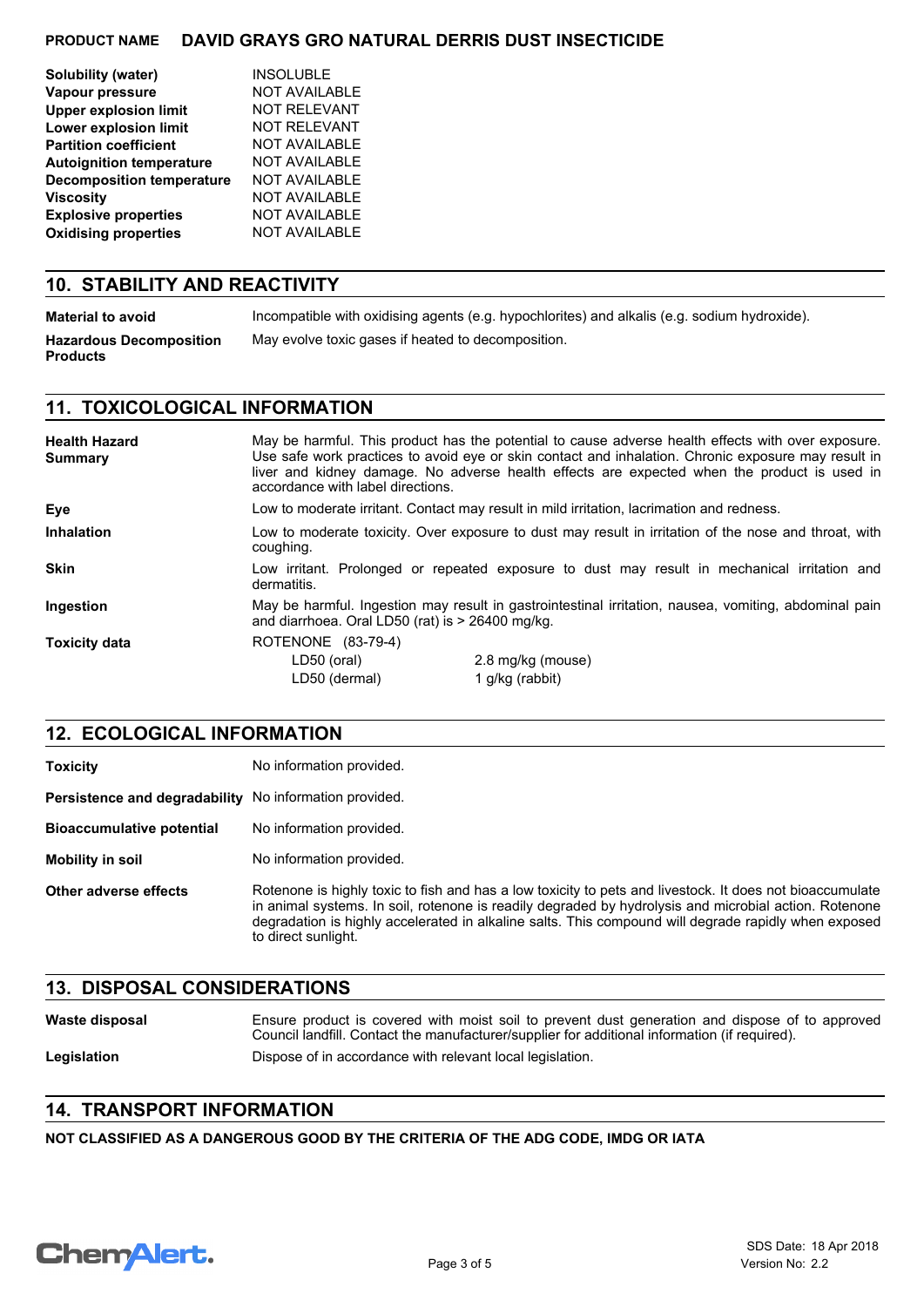| Solubility (water)               | <b>INSOLUBLE</b>     |
|----------------------------------|----------------------|
| Vapour pressure                  | <b>NOT AVAILABLE</b> |
| <b>Upper explosion limit</b>     | <b>NOT RELEVANT</b>  |
| Lower explosion limit            | NOT RELEVANT         |
| <b>Partition coefficient</b>     | <b>NOT AVAILABLE</b> |
| <b>Autoignition temperature</b>  | <b>NOT AVAILABLE</b> |
| <b>Decomposition temperature</b> | <b>NOT AVAILABLE</b> |
| <b>Viscosity</b>                 | <b>NOT AVAILABLE</b> |
| <b>Explosive properties</b>      | <b>NOT AVAILABLE</b> |
| <b>Oxidising properties</b>      | <b>NOT AVAILABLE</b> |
|                                  |                      |

### **10. STABILITY AND REACTIVITY**

| Material to avoid                                 | Incompatible with oxidising agents (e.g. hypochlorites) and alkalis (e.g. sodium hydroxide). |
|---------------------------------------------------|----------------------------------------------------------------------------------------------|
| <b>Hazardous Decomposition</b><br><b>Products</b> | May evolve toxic gases if heated to decomposition.                                           |

# **11. TOXICOLOGICAL INFORMATION**

| <b>Health Hazard</b><br>Summary | May be harmful. This product has the potential to cause adverse health effects with over exposure.<br>Use safe work practices to avoid eye or skin contact and inhalation. Chronic exposure may result in<br>liver and kidney damage. No adverse health effects are expected when the product is used in<br>accordance with label directions. |                   |  |
|---------------------------------|-----------------------------------------------------------------------------------------------------------------------------------------------------------------------------------------------------------------------------------------------------------------------------------------------------------------------------------------------|-------------------|--|
| Eye                             | Low to moderate irritant. Contact may result in mild irritation, lacrimation and redness.                                                                                                                                                                                                                                                     |                   |  |
| <b>Inhalation</b>               | Low to moderate toxicity. Over exposure to dust may result in irritation of the nose and throat, with<br>coughing.                                                                                                                                                                                                                            |                   |  |
| <b>Skin</b>                     | Low irritant. Prolonged or repeated exposure to dust may result in mechanical irritation and<br>dermatitis.                                                                                                                                                                                                                                   |                   |  |
| Ingestion                       | May be harmful. Ingestion may result in gastrointestinal irritation, nausea, vomiting, abdominal pain<br>and diarrhoea. Oral LD50 (rat) is $>$ 26400 mg/kg.                                                                                                                                                                                   |                   |  |
| <b>Toxicity data</b>            | ROTENONE (83-79-4)                                                                                                                                                                                                                                                                                                                            |                   |  |
|                                 | LD50 (oral)                                                                                                                                                                                                                                                                                                                                   | 2.8 mg/kg (mouse) |  |
|                                 | LD50 (dermal)                                                                                                                                                                                                                                                                                                                                 | 1 g/kg (rabbit)   |  |

## **12. ECOLOGICAL INFORMATION**

| <b>Toxicity</b>                                        | No information provided.                                                                                                                                                                                                                                                                                                                         |  |
|--------------------------------------------------------|--------------------------------------------------------------------------------------------------------------------------------------------------------------------------------------------------------------------------------------------------------------------------------------------------------------------------------------------------|--|
| Persistence and degradability No information provided. |                                                                                                                                                                                                                                                                                                                                                  |  |
| <b>Bioaccumulative potential</b>                       | No information provided.                                                                                                                                                                                                                                                                                                                         |  |
| Mobility in soil                                       | No information provided.                                                                                                                                                                                                                                                                                                                         |  |
| <b>Other adverse effects</b>                           | Rotenone is highly toxic to fish and has a low toxicity to pets and livestock. It does not bioaccumulate<br>in animal systems. In soil, rotenone is readily degraded by hydrolysis and microbial action. Rotenone<br>degradation is highly accelerated in alkaline salts. This compound will degrade rapidly when exposed<br>to direct sunlight. |  |

## **13. DISPOSAL CONSIDERATIONS**

| Waste disposal | Ensure product is covered with moist soil to prevent dust generation and dispose of to approved<br>Council landfill. Contact the manufacturer/supplier for additional information (if required). |
|----------------|--------------------------------------------------------------------------------------------------------------------------------------------------------------------------------------------------|
| Legislation    | Dispose of in accordance with relevant local legislation.                                                                                                                                        |

## **14. TRANSPORT INFORMATION**

**NOT CLASSIFIED AS A DANGEROUS GOOD BY THE CRITERIA OF THE ADG CODE, IMDG OR IATA**

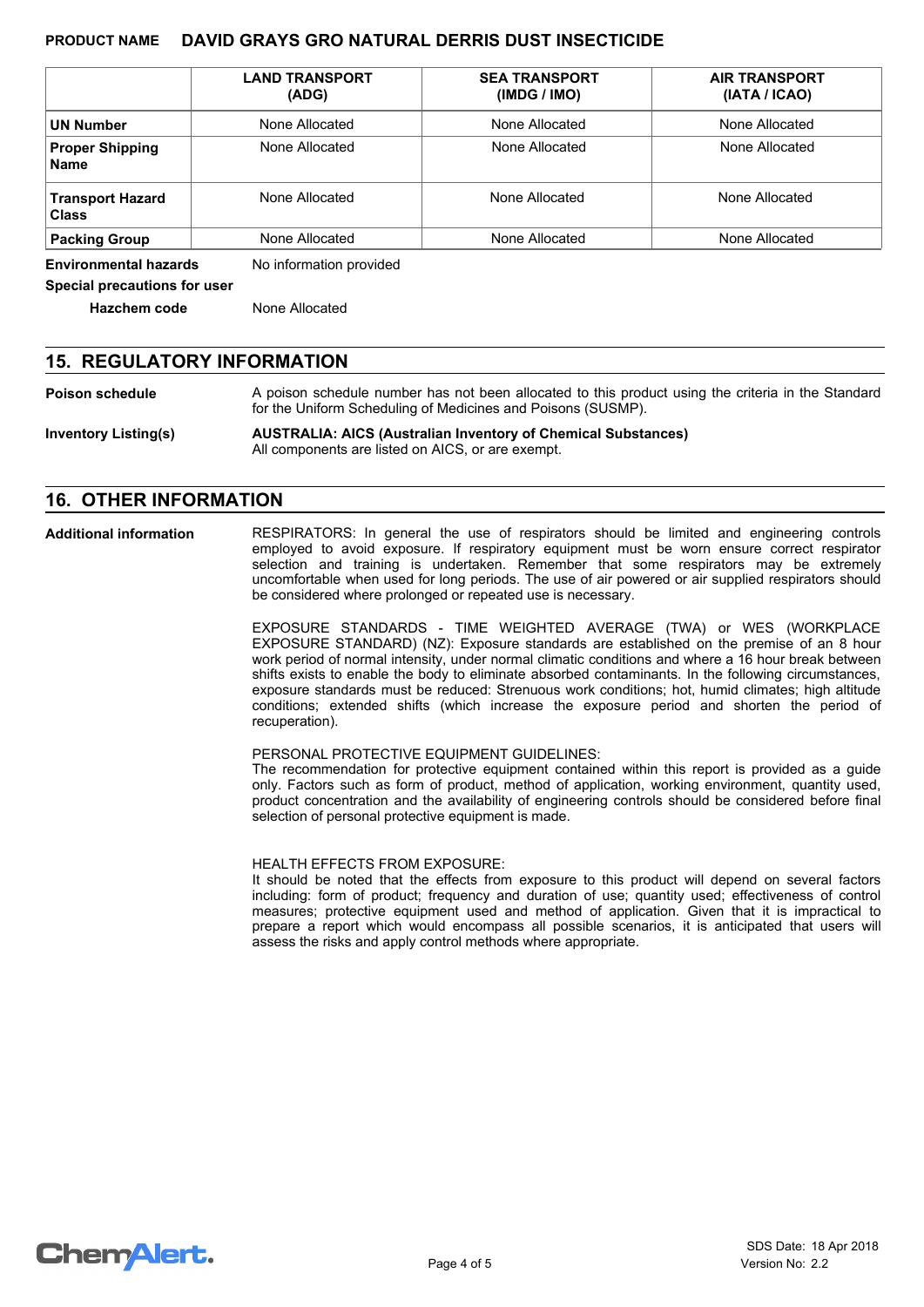|                                         | <b>LAND TRANSPORT</b><br>(ADG) | <b>SEA TRANSPORT</b><br>(IMDG / IMO) | <b>AIR TRANSPORT</b><br>(IATA / ICAO) |
|-----------------------------------------|--------------------------------|--------------------------------------|---------------------------------------|
| <b>UN Number</b>                        | None Allocated                 | None Allocated                       | None Allocated                        |
| <b>Proper Shipping</b><br><b>Name</b>   | None Allocated                 | None Allocated                       | None Allocated                        |
| <b>Transport Hazard</b><br><b>Class</b> | None Allocated                 | None Allocated                       | None Allocated                        |
| <b>Packing Group</b>                    | None Allocated                 | None Allocated                       | None Allocated                        |

**Environmental hazards** No information provided

**Special precautions for user**

**Hazchem code** None Allocated

### **15. REGULATORY INFORMATION**

**Poison schedule** A poison schedule number has not been allocated to this product using the criteria in the Standard for the Uniform Scheduling of Medicines and Poisons (SUSMP).

**Inventory Listing(s) AUSTRALIA: AICS (Australian Inventory of Chemical Substances)** All components are listed on AICS, or are exempt.

### **16. OTHER INFORMATION**

**Additional information**

RESPIRATORS: In general the use of respirators should be limited and engineering controls employed to avoid exposure. If respiratory equipment must be worn ensure correct respirator selection and training is undertaken. Remember that some respirators may be extremely uncomfortable when used for long periods. The use of air powered or air supplied respirators should be considered where prolonged or repeated use is necessary.

EXPOSURE STANDARDS - TIME WEIGHTED AVERAGE (TWA) or WES (WORKPLACE EXPOSURE STANDARD) (NZ): Exposure standards are established on the premise of an 8 hour work period of normal intensity, under normal climatic conditions and where a 16 hour break between shifts exists to enable the body to eliminate absorbed contaminants. In the following circumstances, exposure standards must be reduced: Strenuous work conditions; hot, humid climates; high altitude conditions; extended shifts (which increase the exposure period and shorten the period of recuperation).

#### PERSONAL PROTECTIVE EQUIPMENT GUIDELINES:

The recommendation for protective equipment contained within this report is provided as a guide only. Factors such as form of product, method of application, working environment, quantity used, product concentration and the availability of engineering controls should be considered before final selection of personal protective equipment is made.

HEALTH EFFECTS FROM EXPOSURE:

It should be noted that the effects from exposure to this product will depend on several factors including: form of product; frequency and duration of use; quantity used; effectiveness of control measures; protective equipment used and method of application. Given that it is impractical to prepare a report which would encompass all possible scenarios, it is anticipated that users will assess the risks and apply control methods where appropriate.